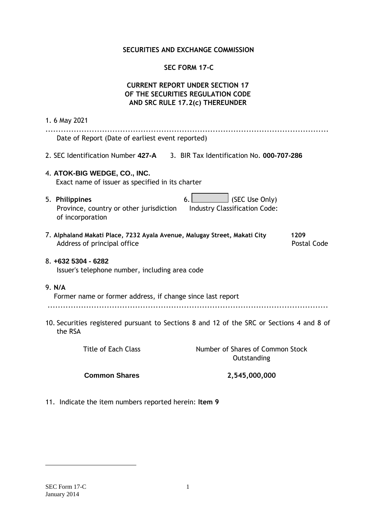### **SECURITIES AND EXCHANGE COMMISSION**

## **SEC FORM 17-C**

# **CURRENT REPORT UNDER SECTION 17 OF THE SECURITIES REGULATION CODE AND SRC RULE 17.2(c) THEREUNDER**

| 1.6 May 2021                                                                                                                                  |
|-----------------------------------------------------------------------------------------------------------------------------------------------|
| Date of Report (Date of earliest event reported)                                                                                              |
| 2. SEC Identification Number 427-A 3. BIR Tax Identification No. 000-707-286                                                                  |
| 4. ATOK-BIG WEDGE, CO., INC.<br>Exact name of issuer as specified in its charter                                                              |
| SEC Use Only)<br>5. Philippines<br>6.1<br><b>Industry Classification Code:</b><br>Province, country or other jurisdiction<br>of incorporation |
| 7. Alphaland Makati Place, 7232 Ayala Avenue, Malugay Street, Makati City<br>1209<br>Address of principal office<br><b>Postal Code</b>        |
| 8. +632 5304 - 6282<br>Issuer's telephone number, including area code                                                                         |
| 9. N/A<br>Former name or former address, if change since last report                                                                          |
| 10. Securities registered pursuant to Sections 8 and 12 of the SRC or Sections 4 and 8 of<br>the RSA                                          |
| <b>Title of Each Class</b><br>Number of Shares of Common Stock<br>Outstanding                                                                 |
| <b>Common Shares</b><br>2,545,000,000                                                                                                         |

11. Indicate the item numbers reported herein: **Item 9** 

1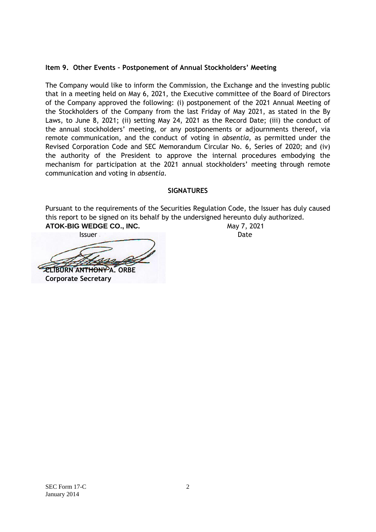### **Item 9. Other Events – Postponement of Annual Stockholders' Meeting**

The Company would like to inform the Commission, the Exchange and the investing public that in a meeting held on May 6, 2021, the Executive committee of the Board of Directors of the Company approved the following: (i) postponement of the 2021 Annual Meeting of the Stockholders of the Company from the last Friday of May 2021, as stated in the By Laws, to June 8, 2021; (ii) setting May 24, 2021 as the Record Date; (iii) the conduct of the annual stockholders' meeting, or any postponements or adjournments thereof, via remote communication, and the conduct of voting in *absentia*, as permitted under the Revised Corporation Code and SEC Memorandum Circular No. 6, Series of 2020; and (iv) the authority of the President to approve the internal procedures embodying the mechanism for participation at the 2021 annual stockholders' meeting through remote communication and voting in *absentia*.

## **SIGNATURES**

Pursuant to the requirements of the Securities Regulation Code, the Issuer has duly caused this report to be signed on its behalf by the undersigned hereunto duly authorized. **ATOK-BIG WEDGE CO., INC.** May 7, 2021

**Issuer** Date **CLIBURN ANTHONY A. ORBE Corporate Secretary**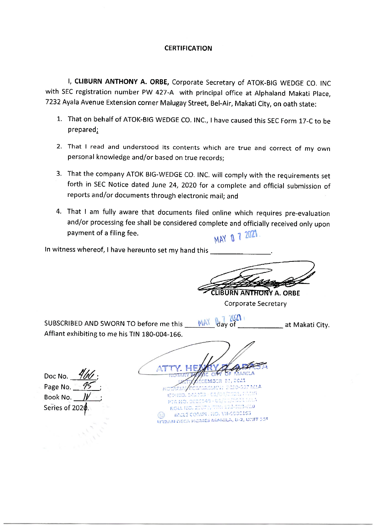#### **CERTIFICATION**

I, CLIBURN ANTHONY A. ORBE, Corporate Secretary of ATOK-BIG WEDGE CO. INC with SEC registration number PW 427-A with principal office at Alphaland Makati Place, 7232 Ayala Avenue Extension corner Malugay Street, Bel-Air, Makati City, on oath state:

- 1. That on behalf of ATOK-BIG WEDGE CO. INC., I have caused this SEC Form 17-C to be prepared:
- 2. That I read and understood its contents which are true and correct of my own personal knowledge and/or based on true records:
- 3. That the company ATOK BIG-WEDGE CO. INC. will comply with the requirements set forth in SEC Notice dated June 24, 2020 for a complete and official submission of reports and/or documents through electronic mail; and
- 4. That I am fully aware that documents filed online which requires pre-evaluation and/or processing fee shall be considered complete and officially received only upon payment of a filing fee. MAY 0 7 2021

In witness whereof, I have hereunto set my hand this

CLIBURN ANTHONY A. ORBE **Corporate Secretary** 

at Makati City.

 $2021$ 

day of

SUBSCRIBED AND SWORN TO before me this Affiant exhibiting to me his TIN 180-004-166.

MAY

Doc No. Page No. Book No. Series of 202

EMBER 21, 2011 1711011711 1120-000 **B/FA** scarps - ca/or 2020149-01 570, 700, 172-503-010 **ROLLIED, 2** WICES COMPL. NO. VII-1000153 URBAN DECA RICMES MARILA, B-2, UNIT GDF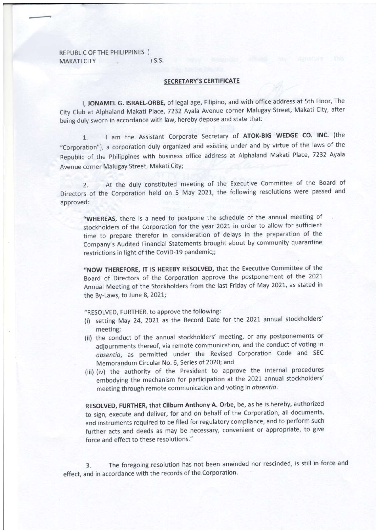REPUBLIC OF THE PHILIPPINES ) MAKATI CITY (S.S.

#### SECRETARY'S CERTIFICATE

I, JONAMEL G. ISRAEL-ORBE, of legal age, Filipino, and with office address at 5th Floor, The City Club at Alphaland Makati Place, 7232 Ayala Avenue corner Malugay Street, Makati City, after being duly sworn in accordance with law, hereby depose and state that:

1. I am the Assistant Corporate Secretary of ATOK-BIG WEDGE CO. INC. (the "Corporation"), a corporation duly organized and existing under and by virtue of the laws of the Republic of the Philippines with business office address at Alphaland Makati Place, 7232 Ayala Avenue corner Malugay Street, Makati City;

2. At the duly constituted meeting of the Executive Committee of the Board of Directors of the Corporation held on 5 May 2021, the following resolutions were passed and approved:

"WHEREAS, there is a need to postpone the schedule of the annual meeting of stockholders of the Corporation for the year 2021 in order to allow for sufficient time to prepare therefor in consideration of delays in the preparation of the Company's Audited Financial Statements brought about by community quarantine restrictions in light of the CoViD-19 pandemic;;

"NOW THEREFORE, IT IS HEREBY RESOLVED, that the Executive Committee of the Board of Directors of the Corporation approve the postponement of the <sup>2021</sup> Annual Meeting of the Stockholders from the last Friday of May 2021, as stated in the By-Laws, to lune 8, 2021;

"RESOLVED, FURTHER, to approve the following:

- (i) setting May 24, 2021 as the Record Date for the 2021 annual stockholders' meeting;
- (ii) the conduct of the annual stockholders' meeting, or any postponements or adjournments thereof, via remote communication, and the conduct of voting in absentia, as permitted under the Revised Corporation Code and SEC Memorandum circular No. 6, Series of 2020; and
- (iii) (iv) the authority of the President to approve the internal procedures embodying the mechanism for participation at the 2021 annual stockholders' meeting through remote communication and voting in absentia.

RESOLVEO, FURTHER, that Cliburn Anthony A. Orbe, be, as he is hereby, authorized to sign, execute and deliver, for and on behalf of the Corporation, all documents, and instruments required to be filed for regulatory compliance, and to perform such further acts and deeds as mav be necessary, convenient or appropriate, to give force and effect to these resolutions."

3. The foregoing resolution has not been amended nor rescinded, is still in force and effect, and in accordance with the records of the Corporation.